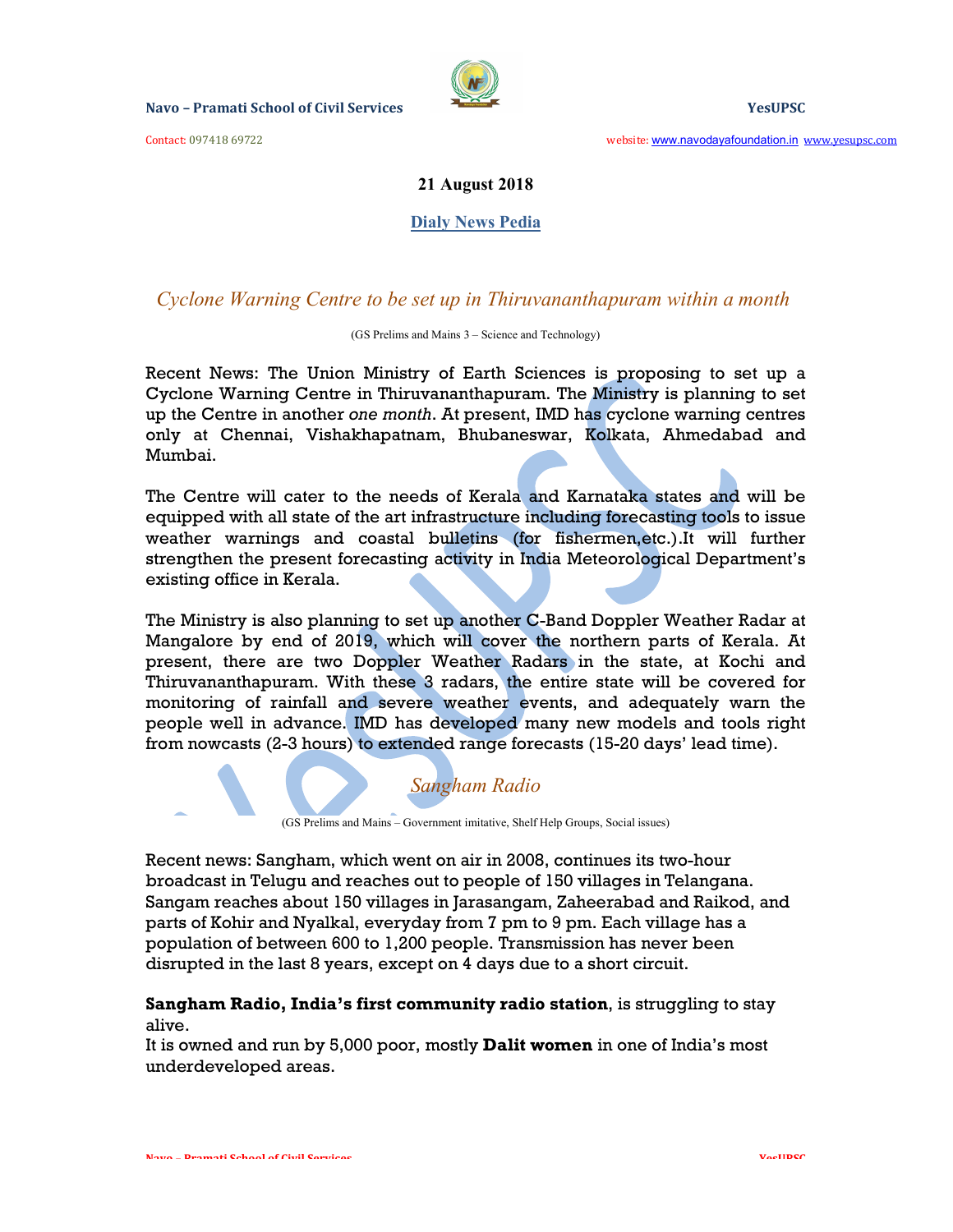

Contact: 097418 69722 website: www.navodayafoundation.in www.yesupsc.com

## 21 August 2018

#### **Dialy News Pedia**

## Cyclone Warning Centre to be set up in Thiruvananthapuram within a month

(GS Prelims and Mains 3 – Science and Technology)

Recent News: The Union Ministry of Earth Sciences is proposing to set up a Cyclone Warning Centre in Thiruvananthapuram. The Ministry is planning to set up the Centre in another one month. At present, IMD has cyclone warning centres only at Chennai, Vishakhapatnam, Bhubaneswar, Kolkata, Ahmedabad and Mumbai.

The Centre will cater to the needs of Kerala and Karnataka states and will be equipped with all state of the art infrastructure including forecasting tools to issue weather warnings and coastal bulletins (for fishermen,etc.).It will further strengthen the present forecasting activity in India Meteorological Department's existing office in Kerala.

The Ministry is also planning to set up another C-Band Doppler Weather Radar at Mangalore by end of 2019, which will cover the northern parts of Kerala. At present, there are two Doppler Weather Radars in the state, at Kochi and Thiruvananthapuram. With these 3 radars, the entire state will be covered for monitoring of rainfall and severe weather events, and adequately warn the people well in advance. IMD has developed many new models and tools right from nowcasts (2-3 hours) to extended range forecasts (15-20 days' lead time).

(GS Prelims and Mains – Government imitative, Shelf Help Groups, Social issues)

Sangham Radio

Recent news: Sangham, which went on air in 2008, continues its two-hour broadcast in Telugu and reaches out to people of 150 villages in Telangana. Sangam reaches about 150 villages in Jarasangam, Zaheerabad and Raikod, and parts of Kohir and Nyalkal, everyday from 7 pm to 9 pm. Each village has a population of between 600 to 1,200 people. Transmission has never been disrupted in the last 8 years, except on 4 days due to a short circuit.

## Sangham Radio, India's first community radio station, is struggling to stay alive.

It is owned and run by 5,000 poor, mostly Dalit women in one of India's most underdeveloped areas.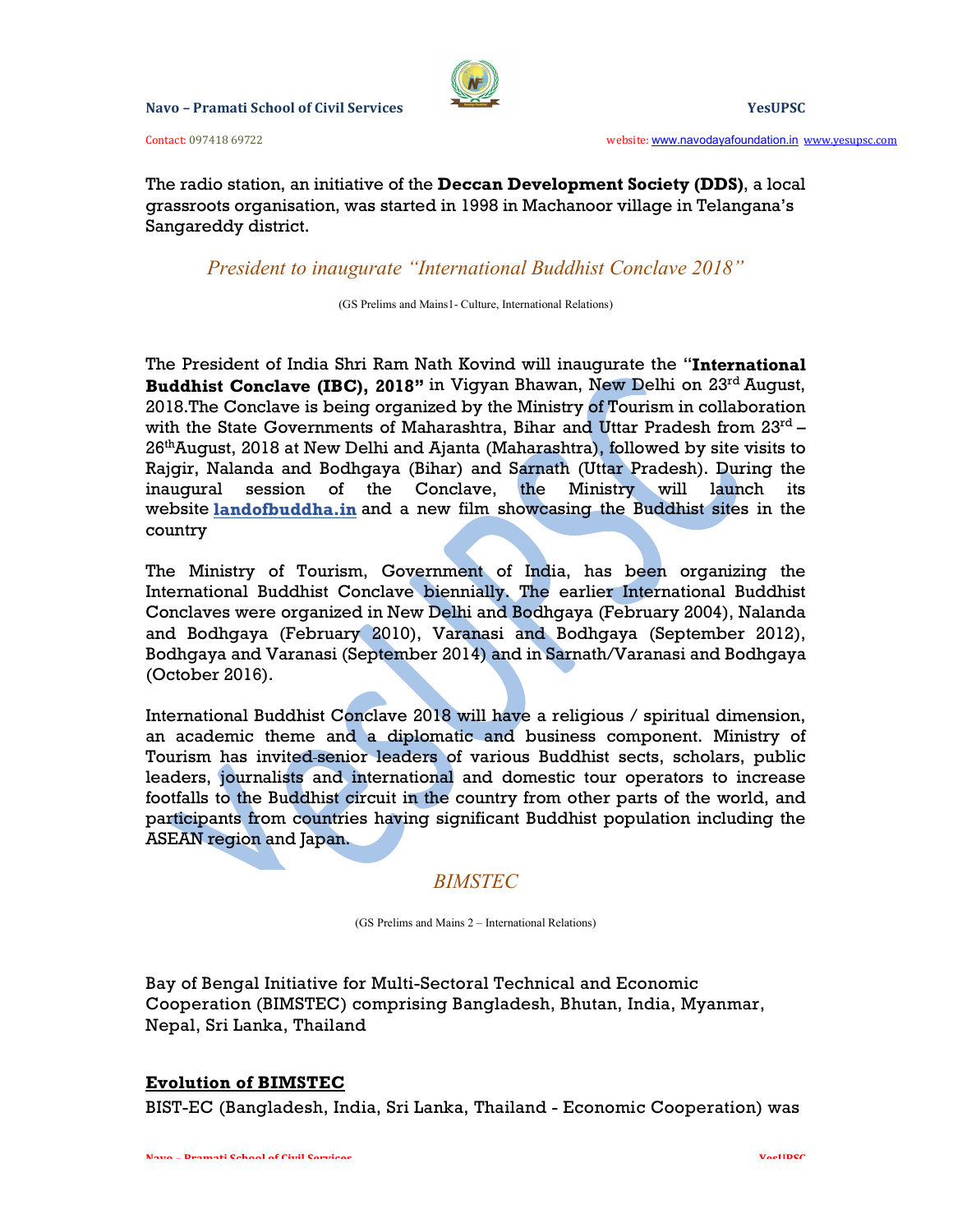

Contact: 097418 69722 website: www.navodayafoundation.in www.yesupsc.com

The radio station, an initiative of the Deccan Development Society (DDS), a local grassroots organisation, was started in 1998 in Machanoor village in Telangana's Sangareddy district.

President to inaugurate "International Buddhist Conclave 2018"

(GS Prelims and Mains1- Culture, International Relations)

The President of India Shri Ram Nath Kovind will inaugurate the "International Buddhist Conclave (IBC), 2018" in Vigyan Bhawan, New Delhi on 23rd August, 2018.The Conclave is being organized by the Ministry of Tourism in collaboration with the State Governments of Maharashtra, Bihar and Uttar Pradesh from 23rd - $26<sup>th</sup>$ August, 2018 at New Delhi and Ajanta (Maharashtra), followed by site visits to Rajgir, Nalanda and Bodhgaya (Bihar) and Sarnath (Uttar Pradesh). During the inaugural session of the Conclave, the Ministry will launch its website landofbuddha.in and a new film showcasing the Buddhist sites in the country

The Ministry of Tourism, Government of India, has been organizing the International Buddhist Conclave biennially. The earlier International Buddhist Conclaves were organized in New Delhi and Bodhgaya (February 2004), Nalanda and Bodhgaya (February 2010), Varanasi and Bodhgaya (September 2012), Bodhgaya and Varanasi (September 2014) and in Sarnath/Varanasi and Bodhgaya (October 2016).

International Buddhist Conclave 2018 will have a religious / spiritual dimension, an academic theme and a diplomatic and business component. Ministry of Tourism has invited senior leaders of various Buddhist sects, scholars, public leaders, journalists and international and domestic tour operators to increase footfalls to the Buddhist circuit in the country from other parts of the world, and participants from countries having significant Buddhist population including the ASEAN region and Japan.

# BIMSTEC

(GS Prelims and Mains 2 – International Relations)

Bay of Bengal Initiative for Multi-Sectoral Technical and Economic Cooperation (BIMSTEC) comprising Bangladesh, Bhutan, India, Myanmar, Nepal, Sri Lanka, Thailand

# Evolution of BIMSTEC

BIST-EC (Bangladesh, India, Sri Lanka, Thailand - Economic Cooperation) was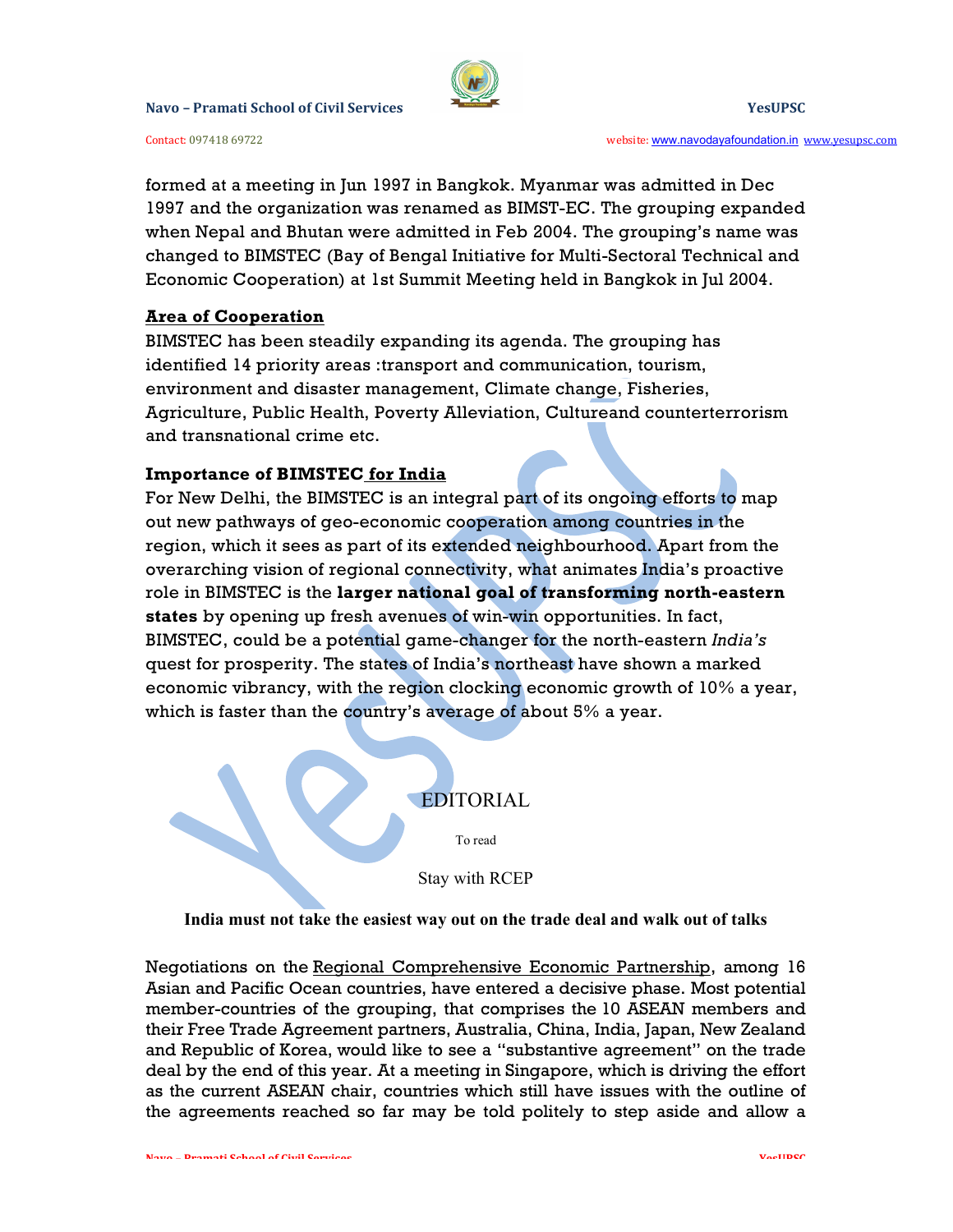

Contact: 097418 69722 website: www.navodayafoundation.in www.yesupsc.com

formed at a meeting in Jun 1997 in Bangkok. Myanmar was admitted in Dec 1997 and the organization was renamed as BIMST-EC. The grouping expanded when Nepal and Bhutan were admitted in Feb 2004. The grouping's name was changed to BIMSTEC (Bay of Bengal Initiative for Multi-Sectoral Technical and Economic Cooperation) at 1st Summit Meeting held in Bangkok in Jul 2004.

## Area of Cooperation

BIMSTEC has been steadily expanding its agenda. The grouping has identified 14 priority areas :transport and communication, tourism, environment and disaster management, Climate change, Fisheries, Agriculture, Public Health, Poverty Alleviation, Cultureand counterterrorism and transnational crime etc.

## Importance of BIMSTEC for India

For New Delhi, the BIMSTEC is an integral part of its ongoing efforts to map out new pathways of geo-economic cooperation among countries in the region, which it sees as part of its extended neighbourhood. Apart from the overarching vision of regional connectivity, what animates India's proactive role in BIMSTEC is the larger national goal of transforming north-eastern states by opening up fresh avenues of win-win opportunities. In fact, BIMSTEC, could be a potential game-changer for the north-eastern India's quest for prosperity. The states of India's northeast have shown a marked economic vibrancy, with the region clocking economic growth of 10% a year, which is faster than the country's average of about 5% a year.

# EDITORIAL

To read

Stay with RCEP

#### India must not take the easiest way out on the trade deal and walk out of talks

Negotiations on the Regional Comprehensive Economic Partnership, among 16 Asian and Pacific Ocean countries, have entered a decisive phase. Most potential member-countries of the grouping, that comprises the 10 ASEAN members and their Free Trade Agreement partners, Australia, China, India, Japan, New Zealand and Republic of Korea, would like to see a "substantive agreement" on the trade deal by the end of this year. At a meeting in Singapore, which is driving the effort as the current ASEAN chair, countries which still have issues with the outline of the agreements reached so far may be told politely to step aside and allow a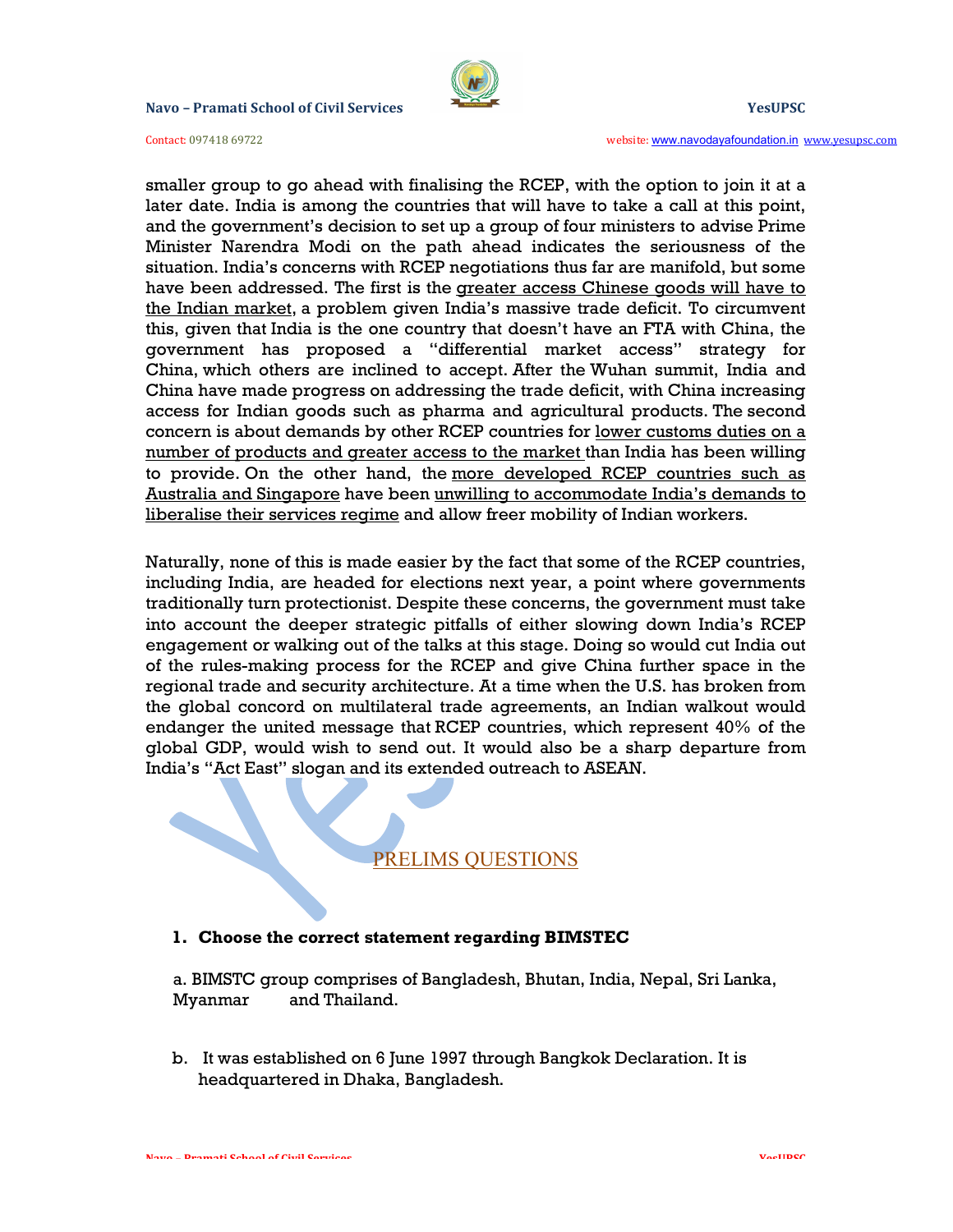

Contact: 097418 69722 website: www.navodayafoundation.in www.yesupsc.com

smaller group to go ahead with finalising the RCEP, with the option to join it at a later date. India is among the countries that will have to take a call at this point, and the government's decision to set up a group of four ministers to advise Prime Minister Narendra Modi on the path ahead indicates the seriousness of the situation. India's concerns with RCEP negotiations thus far are manifold, but some have been addressed. The first is the greater access Chinese goods will have to the Indian market, a problem given India's massive trade deficit. To circumvent this, given that India is the one country that doesn't have an FTA with China, the government has proposed a "differential market access" strategy for China, which others are inclined to accept. After the Wuhan summit, India and China have made progress on addressing the trade deficit, with China increasing access for Indian goods such as pharma and agricultural products. The second concern is about demands by other RCEP countries for <u>lower customs duties on a</u> number of products and greater access to the market than India has been willing to provide. On the other hand, the more developed RCEP countries such as Australia and Singapore have been unwilling to accommodate India's demands to liberalise their services regime and allow freer mobility of Indian workers.

Naturally, none of this is made easier by the fact that some of the RCEP countries, including India, are headed for elections next year, a point where governments traditionally turn protectionist. Despite these concerns, the government must take into account the deeper strategic pitfalls of either slowing down India's RCEP engagement or walking out of the talks at this stage. Doing so would cut India out of the rules-making process for the RCEP and give China further space in the regional trade and security architecture. At a time when the U.S. has broken from the global concord on multilateral trade agreements, an Indian walkout would endanger the united message that RCEP countries, which represent 40% of the global GDP, would wish to send out. It would also be a sharp departure from India's "Act East" slogan and its extended outreach to ASEAN.

# PRELIMS QUESTIONS

#### 1. Choose the correct statement regarding BIMSTEC

a. BIMSTC group comprises of Bangladesh, Bhutan, India, Nepal, Sri Lanka, Myanmar and Thailand.

b. It was established on 6 June 1997 through Bangkok Declaration. It is headquartered in Dhaka, Bangladesh.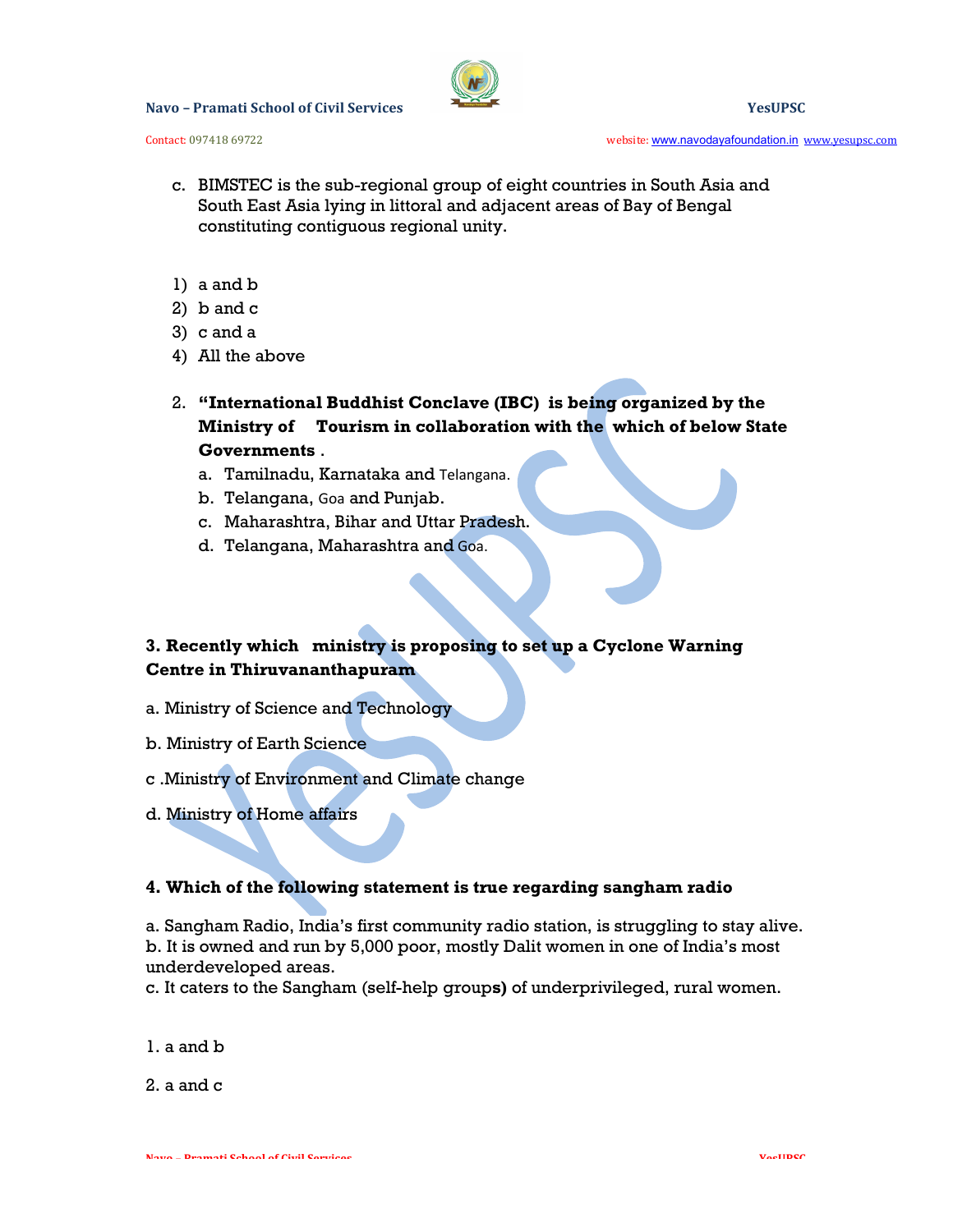

Contact: 097418 69722 website: www.navodayafoundation.in www.yesupsc.com

- c. BIMSTEC is the sub-regional group of eight countries in South Asia and South East Asia lying in littoral and adjacent areas of Bay of Bengal constituting contiguous regional unity.
- 1) a and b
- 2) b and c
- 3) c and a
- 4) All the above
- 2. "International Buddhist Conclave (IBC) is being organized by the Ministry of Tourism in collaboration with the which of below State **Governments .**<br>a. Tamilnadu, Karnataka and Telangana.
	-
	- b. Telangana, Goa and Punjab.
	- c. Maharashtra, Bihar and Uttar Pradesh.
	- d. Telangana, Maharashtra and Goa.

# 3. Recently which ministry is proposing to set up a Cyclone Warning Centre in Thiruvananthapuram

- a. Ministry of Science and Technology
- b. Ministry of Earth Science
- c .Ministry of Environment and Climate change
- d. Ministry of Home affairs

# 4. Which of the following statement is true regarding sangham radio

a. Sangham Radio, India's first community radio station, is struggling to stay alive. b. It is owned and run by 5,000 poor, mostly Dalit women in one of India's most underdeveloped areas.

c. It caters to the Sangham (self-help groups) of underprivileged, rural women.

1. a and b

2. a and c